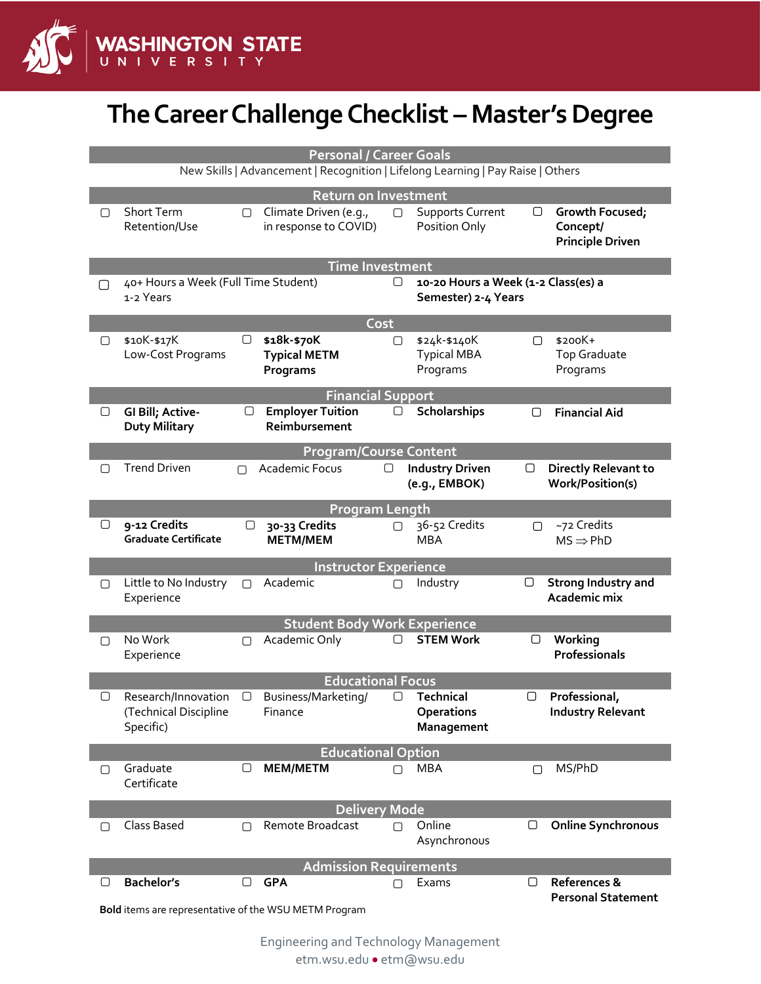

## **The Career Challenge Checklist – Master's Degree**

|                                                                                                                | <b>Personal / Career Goals</b>                            |        |                                                |                      |                                                            |   |                                                        |  |  |
|----------------------------------------------------------------------------------------------------------------|-----------------------------------------------------------|--------|------------------------------------------------|----------------------|------------------------------------------------------------|---|--------------------------------------------------------|--|--|
| New Skills   Advancement   Recognition   Lifelong Learning   Pay Raise   Others<br><b>Return on Investment</b> |                                                           |        |                                                |                      |                                                            |   |                                                        |  |  |
| ∩                                                                                                              | Short Term<br>Retention/Use                               | ∩      | Climate Driven (e.g.,<br>in response to COVID) | $\Box$               | <b>Supports Current</b><br>Position Only                   | O | Growth Focused;<br>Concept/<br><b>Principle Driven</b> |  |  |
|                                                                                                                | <b>Time Investment</b>                                    |        |                                                |                      |                                                            |   |                                                        |  |  |
| ∩                                                                                                              | 40+ Hours a Week (Full Time Student)<br>1-2 Years         |        |                                                | □                    | 10-20 Hours a Week (1-2 Class(es) a<br>Semester) 2-4 Years |   |                                                        |  |  |
|                                                                                                                |                                                           |        |                                                | Cost                 |                                                            |   |                                                        |  |  |
| ▢                                                                                                              | \$10K-\$17K<br>Low-Cost Programs                          | $\Box$ | \$18k-\$70K<br><b>Typical METM</b><br>Programs | $\Box$               | \$24k-\$140K<br><b>Typical MBA</b><br>Programs             | ∩ | \$200K+<br><b>Top Graduate</b><br>Programs             |  |  |
|                                                                                                                |                                                           |        | <b>Financial Support</b>                       |                      |                                                            |   |                                                        |  |  |
| O                                                                                                              | GI Bill; Active-<br><b>Duty Military</b>                  | O      | <b>Employer Tuition</b><br>Reimbursement       | 0                    | Scholarships                                               | ▢ | <b>Financial Aid</b>                                   |  |  |
| <b>Program/Course Content</b>                                                                                  |                                                           |        |                                                |                      |                                                            |   |                                                        |  |  |
| □                                                                                                              | <b>Trend Driven</b>                                       | ∩      | Academic Focus                                 | U                    | <b>Industry Driven</b><br>(e.g., EMBOK)                    | □ | <b>Directly Relevant to</b><br>Work/Position(s)        |  |  |
|                                                                                                                | <b>Program Length</b>                                     |        |                                                |                      |                                                            |   |                                                        |  |  |
| O                                                                                                              | 9-12 Credits<br><b>Graduate Certificate</b>               | □      | 30-33 Credits<br><b>METM/MEM</b>               | ∩                    | 36-52 Credits<br><b>MBA</b>                                | ∩ | ~72 Credits<br>$MS \Rightarrow PhD$                    |  |  |
| <b>Instructor Experience</b>                                                                                   |                                                           |        |                                                |                      |                                                            |   |                                                        |  |  |
| $\Box$                                                                                                         | Little to No Industry<br>Experience                       | $\Box$ | Academic                                       | ∩                    | Industry                                                   | O | <b>Strong Industry and</b><br>Academic mix             |  |  |
|                                                                                                                |                                                           |        | <b>Student Body Work Experience</b>            |                      |                                                            |   |                                                        |  |  |
| ∩                                                                                                              | No Work<br>Experience                                     | ∩      | Academic Only                                  | $\Box$               | <b>STEM Work</b>                                           | O | Working<br><b>Professionals</b>                        |  |  |
| <b>Educational Focus</b>                                                                                       |                                                           |        |                                                |                      |                                                            |   |                                                        |  |  |
| ∩                                                                                                              | Research/Innovation<br>(Technical Discipline<br>Specific) | $\Box$ | Business/Marketing/<br>Finance                 | ⊓                    | <b>Technical</b><br><b>Operations</b><br><b>Management</b> | ∩ | Professional,<br><b>Industry Relevant</b>              |  |  |
|                                                                                                                |                                                           |        | <b>Educational Option</b>                      |                      |                                                            |   |                                                        |  |  |
| $\Box$                                                                                                         | Graduate<br>Certificate                                   | $\Box$ | <b>MEM/METM</b>                                | ∩                    | <b>MBA</b>                                                 | ∩ | MS/PhD                                                 |  |  |
|                                                                                                                |                                                           |        |                                                | <b>Delivery Mode</b> |                                                            |   |                                                        |  |  |
| 0                                                                                                              | Class Based                                               | ∩      | Remote Broadcast                               | ∩                    | Online<br>Asynchronous                                     | □ | <b>Online Synchronous</b>                              |  |  |
| <b>Admission Requirements</b>                                                                                  |                                                           |        |                                                |                      |                                                            |   |                                                        |  |  |
| O                                                                                                              | <b>Bachelor's</b>                                         | O      | <b>GPA</b>                                     | П                    | Exams                                                      | □ | References &<br><b>Personal Statement</b>              |  |  |
|                                                                                                                | Bold items are representative of the WSU METM Program     |        |                                                |                      |                                                            |   |                                                        |  |  |